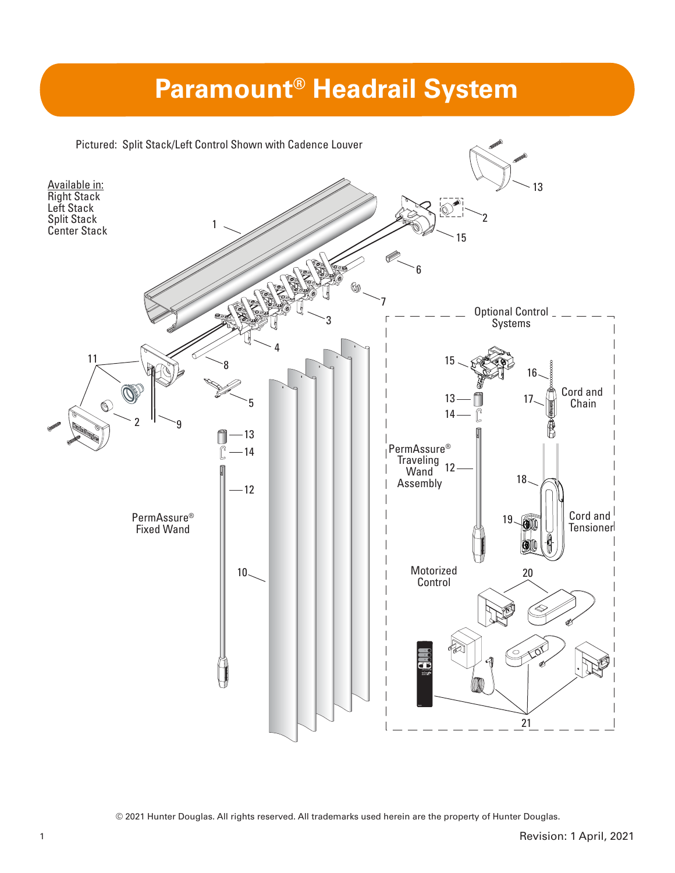# **Paramount® Headrail System**



© 2021 Hunter Douglas. All rights reserved. All trademarks used herein are the property of Hunter Douglas.